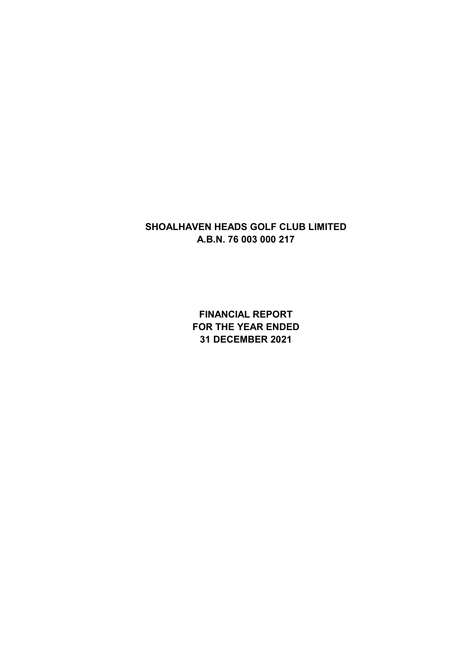**FINANCIAL REPORT FOR THE YEAR ENDED 31 DECEMBER 2021**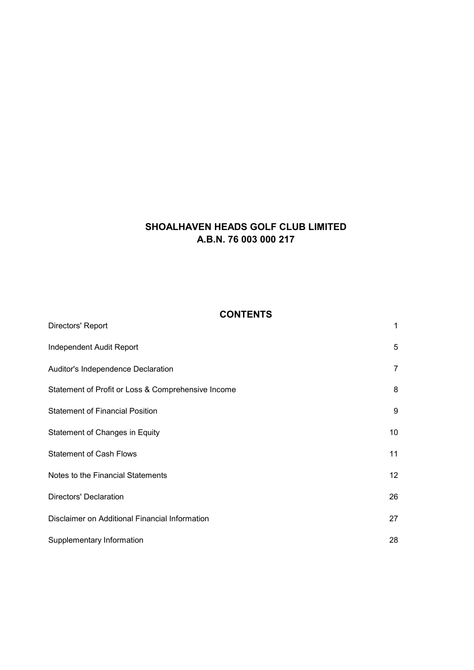## **CONTENTS**

 $\overline{1}$ 

| Independent Audit Report                           | 5  |
|----------------------------------------------------|----|
| Auditor's Independence Declaration                 | 7  |
| Statement of Profit or Loss & Comprehensive Income | 8  |
| <b>Statement of Financial Position</b>             | 9  |
| Statement of Changes in Equity                     | 10 |
| <b>Statement of Cash Flows</b>                     | 11 |
| Notes to the Financial Statements                  | 12 |
| <b>Directors' Declaration</b>                      | 26 |
| Disclaimer on Additional Financial Information     | 27 |
| Supplementary Information                          | 28 |

Directors' Report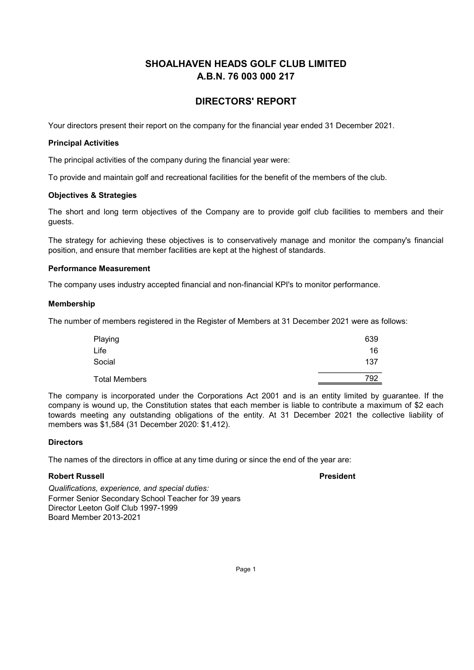## **DIRECTORS' REPORT**

Your directors present their report on the company for the financial year ended 31 December 2021.

#### **Principal Activities**

The principal activities of the company during the financial year were:

To provide and maintain golf and recreational facilities for the benefit of the members of the club.

### **Objectives & Strategies**

The short and long term objectives of the Company are to provide golf club facilities to members and their quests.

The strategy for achieving these objectives is to conservatively manage and monitor the company's financial position, and ensure that member facilities are kept at the highest of standards.

## **Performance Measurement**

The company uses industry accepted financial and non-financial KPI's to monitor performance.

#### **Membership**

The number of members registered in the Register of Members at 31 December 2021 were as follows:

| Playing              | 639 |
|----------------------|-----|
| Life                 | 16  |
| Social               | 137 |
| <b>Total Members</b> | 792 |

The company is incorporated under the Corporations Act 2001 and is an entity limited by guarantee. If the company is wound up, the Constitution states that each member is liable to contribute a maximum of \$2 each towards meeting any outstanding obligations of the entity. At 31 December 2021 the collective liability of members was \$1,584 (31 December 2020: \$1,412).

## **Directors**

The names of the directors in office at any time during or since the end of the year are:

#### **Robert Russell**

**President** 

Qualifications, experience, and special duties: Former Senior Secondary School Teacher for 39 years Director Leeton Golf Club 1997-1999 **Board Member 2013-2021**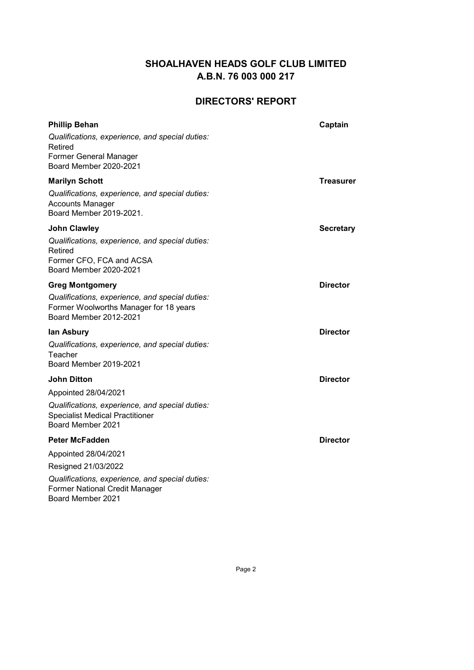## **DIRECTORS' REPORT**

| <b>Phillip Behan</b><br>Qualifications, experience, and special duties:<br>Retired<br><b>Former General Manager</b><br>Board Member 2020-2021                                  | Captain          |
|--------------------------------------------------------------------------------------------------------------------------------------------------------------------------------|------------------|
| <b>Marilyn Schott</b><br>Qualifications, experience, and special duties:<br><b>Accounts Manager</b><br>Board Member 2019-2021.                                                 | Treasurer        |
| <b>John Clawley</b><br>Qualifications, experience, and special duties:<br>Retired<br>Former CFO, FCA and ACSA<br>Board Member 2020-2021                                        | <b>Secretary</b> |
| <b>Greg Montgomery</b><br>Qualifications, experience, and special duties:<br>Former Woolworths Manager for 18 years<br>Board Member 2012-2021                                  | <b>Director</b>  |
| lan Asbury<br>Qualifications, experience, and special duties:<br>Teacher<br><b>Board Member 2019-2021</b>                                                                      | <b>Director</b>  |
| <b>John Ditton</b><br>Appointed 28/04/2021<br>Qualifications, experience, and special duties:<br><b>Specialist Medical Practitioner</b><br>Board Member 2021                   | <b>Director</b>  |
| <b>Peter McFadden</b><br>Appointed 28/04/2021<br>Resigned 21/03/2022<br>Qualifications, experience, and special duties:<br>Former National Credit Manager<br>Board Member 2021 | <b>Director</b>  |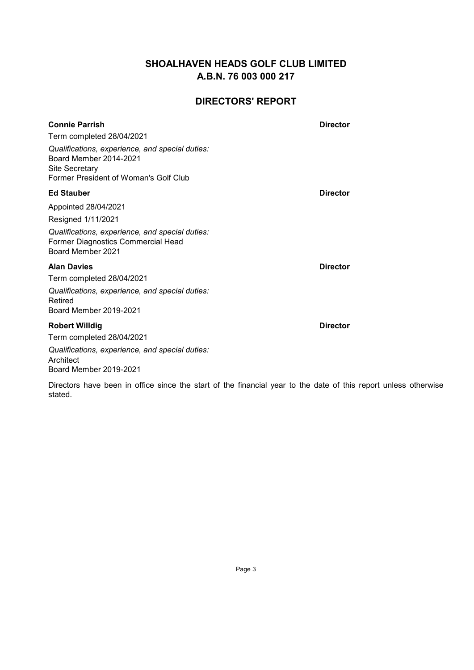## **DIRECTORS' REPORT**

| <b>Connie Parrish</b>                                                                                                                       | <b>Director</b> |
|---------------------------------------------------------------------------------------------------------------------------------------------|-----------------|
| Term completed 28/04/2021                                                                                                                   |                 |
| Qualifications, experience, and special duties:<br><b>Board Member 2014-2021</b><br>Site Secretary<br>Former President of Woman's Golf Club |                 |
| <b>Ed Stauber</b>                                                                                                                           | <b>Director</b> |
| Appointed 28/04/2021                                                                                                                        |                 |
| Resigned 1/11/2021                                                                                                                          |                 |
| Qualifications, experience, and special duties:<br>Former Diagnostics Commercial Head<br>Board Member 2021                                  |                 |
| <b>Alan Davies</b>                                                                                                                          | <b>Director</b> |
| Term completed 28/04/2021                                                                                                                   |                 |
| Qualifications, experience, and special duties:<br>Retired<br>Board Member 2019-2021                                                        |                 |
| <b>Robert Willdig</b>                                                                                                                       | <b>Director</b> |
| Term completed 28/04/2021                                                                                                                   |                 |
| Qualifications, experience, and special duties:<br>Architect<br>Board Member 2019-2021                                                      |                 |

Directors have been in office since the start of the financial year to the date of this report unless otherwise stated.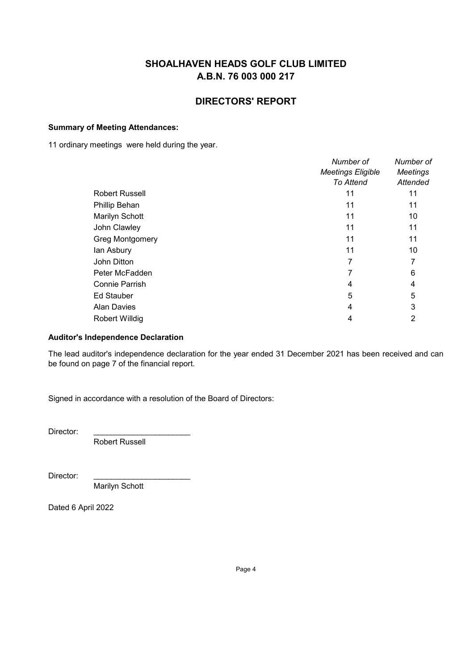## **DIRECTORS' REPORT**

## **Summary of Meeting Attendances:**

11 ordinary meetings were held during the year.

|                        | Number of<br><b>Meetings Eligible</b><br>To Attend | Number of<br><b>Meetings</b><br>Attended |
|------------------------|----------------------------------------------------|------------------------------------------|
| <b>Robert Russell</b>  | 11                                                 | 11                                       |
| Phillip Behan          | 11                                                 | 11                                       |
| Marilyn Schott         | 11                                                 | 10                                       |
| John Clawley           | 11                                                 | 11                                       |
| <b>Greg Montgomery</b> | 11                                                 | 11                                       |
| lan Asbury             | 11                                                 | 10                                       |
| John Ditton            | 7                                                  |                                          |
| Peter McFadden         |                                                    | 6                                        |
| <b>Connie Parrish</b>  | 4                                                  | 4                                        |
| <b>Ed Stauber</b>      | 5                                                  | 5                                        |
| <b>Alan Davies</b>     | 4                                                  | 3                                        |
| Robert Willdig         | 4                                                  |                                          |
|                        |                                                    |                                          |

## **Auditor's Independence Declaration**

The lead auditor's independence declaration for the year ended 31 December 2021 has been received and can be found on page 7 of the financial report.

Signed in accordance with a resolution of the Board of Directors:

Director:

Robert Russell

Director:

Marilyn Schott

Dated 6 April 2022

Page 4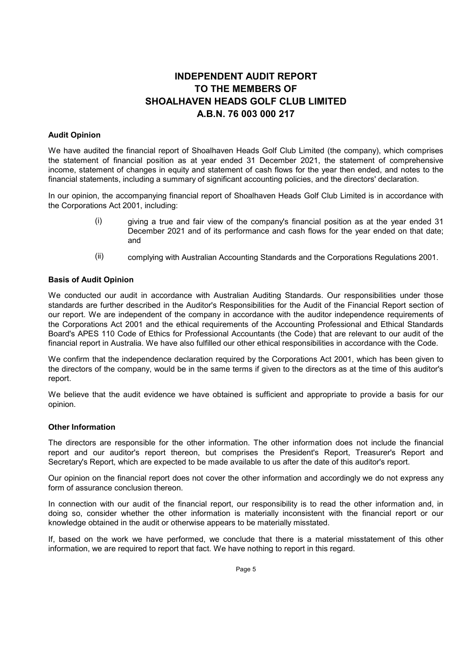# **INDEPENDENT AUDIT REPORT** TO THE MEMBERS OF **SHOALHAVEN HEADS GOLF CLUB LIMITED** A.B.N. 76 003 000 217

#### **Audit Opinion**

We have audited the financial report of Shoalhaven Heads Golf Club Limited (the company), which comprises the statement of financial position as at year ended 31 December 2021, the statement of comprehensive income, statement of changes in equity and statement of cash flows for the year then ended, and notes to the financial statements, including a summary of significant accounting policies, and the directors' declaration.

In our opinion, the accompanying financial report of Shoalhaven Heads Golf Club Limited is in accordance with the Corporations Act 2001, including:

- giving a true and fair view of the company's financial position as at the year ended 31  $(i)$ December 2021 and of its performance and cash flows for the year ended on that date; and
- $(ii)$ complying with Australian Accounting Standards and the Corporations Regulations 2001.

#### **Basis of Audit Opinion**

We conducted our audit in accordance with Australian Auditing Standards. Our responsibilities under those standards are further described in the Auditor's Responsibilities for the Audit of the Financial Report section of our report. We are independent of the company in accordance with the auditor independence requirements of the Corporations Act 2001 and the ethical requirements of the Accounting Professional and Ethical Standards Board's APES 110 Code of Ethics for Professional Accountants (the Code) that are relevant to our audit of the financial report in Australia. We have also fulfilled our other ethical responsibilities in accordance with the Code.

We confirm that the independence declaration required by the Corporations Act 2001, which has been given to the directors of the company, would be in the same terms if given to the directors as at the time of this auditor's report.

We believe that the audit evidence we have obtained is sufficient and appropriate to provide a basis for our opinion.

#### **Other Information**

The directors are responsible for the other information. The other information does not include the financial report and our auditor's report thereon, but comprises the President's Report, Treasurer's Report and Secretary's Report, which are expected to be made available to us after the date of this auditor's report.

Our opinion on the financial report does not cover the other information and accordingly we do not express any form of assurance conclusion thereon.

In connection with our audit of the financial report, our responsibility is to read the other information and, in doing so, consider whether the other information is materially inconsistent with the financial report or our knowledge obtained in the audit or otherwise appears to be materially misstated.

If, based on the work we have performed, we conclude that there is a material misstatement of this other information, we are required to report that fact. We have nothing to report in this regard.

Page 5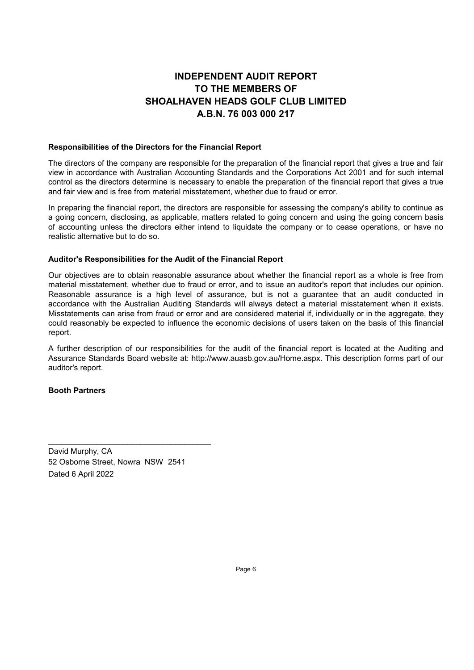# **INDEPENDENT AUDIT REPORT** TO THE MEMBERS OF **SHOALHAVEN HEADS GOLF CLUB LIMITED** A.B.N. 76 003 000 217

#### Responsibilities of the Directors for the Financial Report

The directors of the company are responsible for the preparation of the financial report that gives a true and fair view in accordance with Australian Accounting Standards and the Corporations Act 2001 and for such internal control as the directors determine is necessary to enable the preparation of the financial report that gives a true and fair view and is free from material misstatement, whether due to fraud or error.

In preparing the financial report, the directors are responsible for assessing the company's ability to continue as a going concern, disclosing, as applicable, matters related to going concern and using the going concern basis of accounting unless the directors either intend to liquidate the company or to cease operations, or have no realistic alternative but to do so.

#### Auditor's Responsibilities for the Audit of the Financial Report

Our objectives are to obtain reasonable assurance about whether the financial report as a whole is free from material misstatement, whether due to fraud or error, and to issue an auditor's report that includes our opinion. Reasonable assurance is a high level of assurance, but is not a quarantee that an audit conducted in accordance with the Australian Auditing Standards will always detect a material misstatement when it exists. Misstatements can arise from fraud or error and are considered material if, individually or in the aggregate, they could reasonably be expected to influence the economic decisions of users taken on the basis of this financial report.

A further description of our responsibilities for the audit of the financial report is located at the Auditing and Assurance Standards Board website at: http://www.auasb.gov.au/Home.aspx. This description forms part of our auditor's report.

#### **Booth Partners**

David Murphy, CA 52 Osborne Street, Nowra NSW 2541 Dated 6 April 2022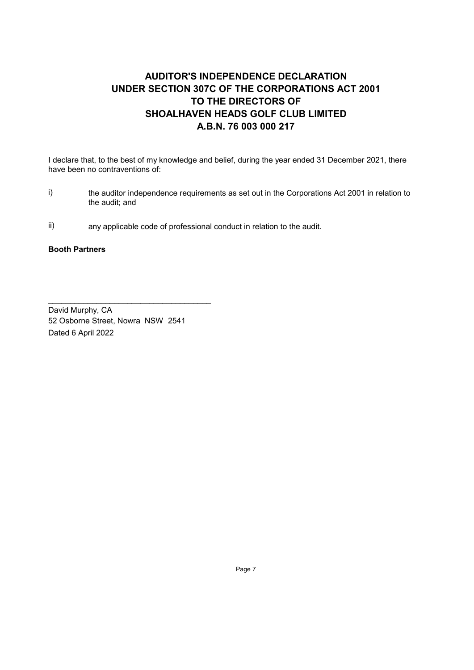# **AUDITOR'S INDEPENDENCE DECLARATION** UNDER SECTION 307C OF THE CORPORATIONS ACT 2001 TO THE DIRECTORS OF SHOALHAVEN HEADS GOLF CLUB LIMITED A.B.N. 76 003 000 217

I declare that, to the best of my knowledge and belief, during the year ended 31 December 2021, there have been no contraventions of:

- $i)$ the auditor independence requirements as set out in the Corporations Act 2001 in relation to the audit; and
- $\mathsf{ii}$ any applicable code of professional conduct in relation to the audit.

## **Booth Partners**

David Murphy, CA 52 Osborne Street, Nowra NSW 2541 Dated 6 April 2022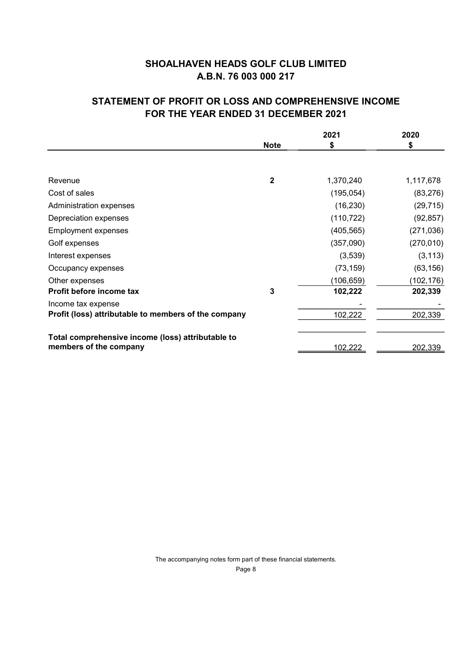# **STATEMENT OF PROFIT OR LOSS AND COMPREHENSIVE INCOME FOR THE YEAR ENDED 31 DECEMBER 2021**

|                                                                             | 2021         |                | 2020           |
|-----------------------------------------------------------------------------|--------------|----------------|----------------|
|                                                                             | <b>Note</b>  | \$             | \$             |
|                                                                             |              |                |                |
| Revenue                                                                     | $\mathbf{2}$ | 1,370,240      | 1,117,678      |
| Cost of sales                                                               |              | (195, 054)     | (83, 276)      |
| Administration expenses                                                     |              | (16, 230)      | (29, 715)      |
| Depreciation expenses                                                       |              | (110, 722)     | (92, 857)      |
| <b>Employment expenses</b>                                                  |              | (405, 565)     | (271, 036)     |
| Golf expenses                                                               |              | (357,090)      | (270, 010)     |
| Interest expenses                                                           |              | (3,539)        | (3, 113)       |
| Occupancy expenses                                                          |              | (73, 159)      | (63, 156)      |
| Other expenses                                                              |              | (106, 659)     | (102,176)      |
| Profit before income tax                                                    | 3            | 102,222        | 202,339        |
| Income tax expense                                                          |              |                |                |
| Profit (loss) attributable to members of the company                        |              | 102,222        | 202,339        |
|                                                                             |              |                |                |
| Total comprehensive income (loss) attributable to<br>members of the company |              | <u>102,222</u> | <u>202,339</u> |

The accompanying notes form part of these financial statements. Page 8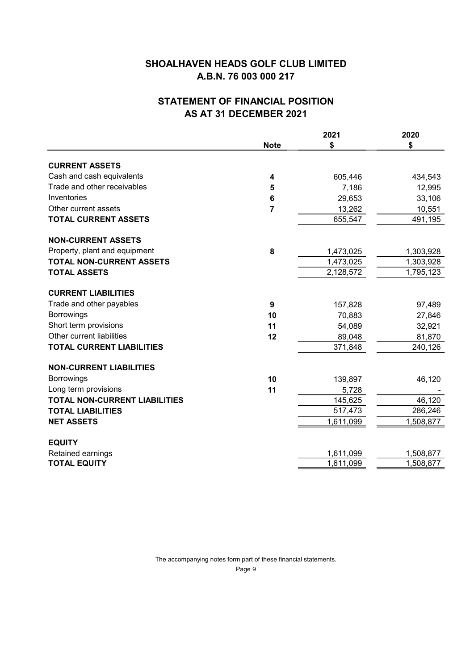# **STATEMENT OF FINANCIAL POSITION** AS AT 31 DECEMBER 2021

|                                      |                | 2021      | 2020      |
|--------------------------------------|----------------|-----------|-----------|
|                                      | <b>Note</b>    | \$        | \$        |
| <b>CURRENT ASSETS</b>                |                |           |           |
| Cash and cash equivalents            | 4              | 605,446   | 434,543   |
| Trade and other receivables          | 5              | 7,186     | 12,995    |
| Inventories                          | 6              | 29,653    | 33,106    |
| Other current assets                 | $\overline{7}$ | 13,262    | 10,551    |
| <b>TOTAL CURRENT ASSETS</b>          |                | 655,547   | 491,195   |
| <b>NON-CURRENT ASSETS</b>            |                |           |           |
| Property, plant and equipment        | 8              | 1,473,025 | 1,303,928 |
| <b>TOTAL NON-CURRENT ASSETS</b>      |                | 1,473,025 | 1,303,928 |
| <b>TOTAL ASSETS</b>                  |                | 2,128,572 | 1,795,123 |
| <b>CURRENT LIABILITIES</b>           |                |           |           |
| Trade and other payables             | 9              | 157,828   | 97,489    |
| Borrowings                           | 10             | 70,883    | 27,846    |
| Short term provisions                | 11             | 54,089    | 32,921    |
| Other current liabilities            | 12             | 89,048    | 81,870    |
| <b>TOTAL CURRENT LIABILITIES</b>     |                | 371,848   | 240,126   |
| <b>NON-CURRENT LIABILITIES</b>       |                |           |           |
| <b>Borrowings</b>                    | 10             | 139,897   | 46,120    |
| Long term provisions                 | 11             | 5,728     |           |
| <b>TOTAL NON-CURRENT LIABILITIES</b> |                | 145,625   | 46,120    |
| <b>TOTAL LIABILITIES</b>             |                | 517,473   | 286,246   |
| <b>NET ASSETS</b>                    |                | 1,611,099 | 1,508,877 |
| <b>EQUITY</b>                        |                |           |           |
| Retained earnings                    |                | 1,611,099 | 1,508,877 |
| <b>TOTAL EQUITY</b>                  |                | 1,611,099 | 1,508,877 |
|                                      |                |           |           |

The accompanying notes form part of these financial statements.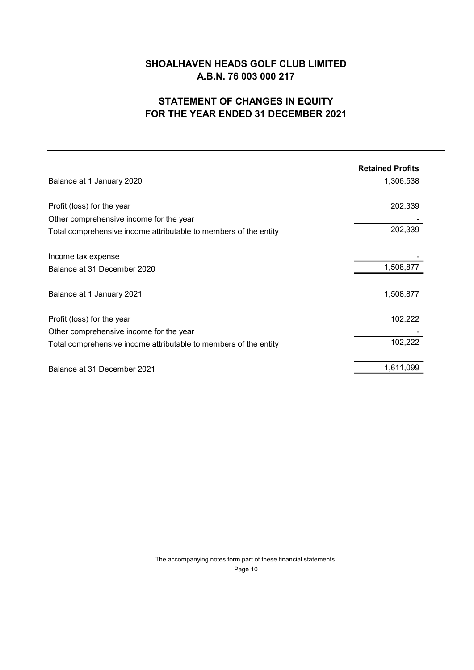# **STATEMENT OF CHANGES IN EQUITY FOR THE YEAR ENDED 31 DECEMBER 2021**

|                                                                  | <b>Retained Profits</b> |
|------------------------------------------------------------------|-------------------------|
| Balance at 1 January 2020                                        | 1,306,538               |
| Profit (loss) for the year                                       | 202,339                 |
| Other comprehensive income for the year                          |                         |
| Total comprehensive income attributable to members of the entity | 202,339                 |
| Income tax expense                                               |                         |
| Balance at 31 December 2020                                      | 1,508,877               |
| Balance at 1 January 2021                                        | 1,508,877               |
| Profit (loss) for the year                                       | 102,222                 |
| Other comprehensive income for the year                          |                         |
| Total comprehensive income attributable to members of the entity | 102,222                 |
| Balance at 31 December 2021                                      | 1,611,099               |

The accompanying notes form part of these financial statements. Page 10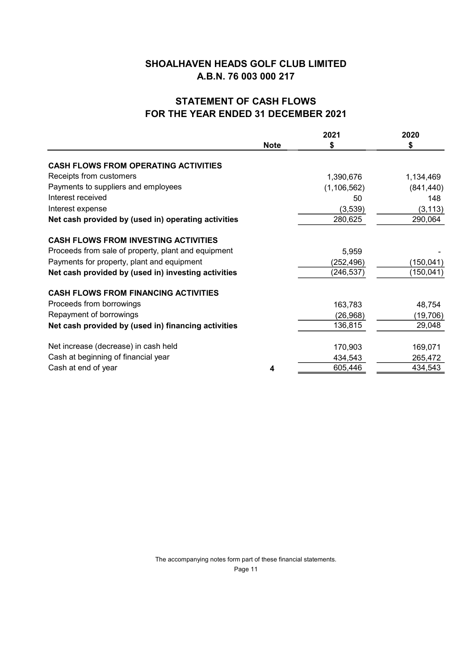## **STATEMENT OF CASH FLOWS** FOR THE YEAR ENDED 31 DECEMBER 2021

|                                                     |             | 2021          | 2020       |
|-----------------------------------------------------|-------------|---------------|------------|
|                                                     | <b>Note</b> | \$            | \$         |
| <b>CASH FLOWS FROM OPERATING ACTIVITIES</b>         |             |               |            |
| Receipts from customers                             |             | 1,390,676     | 1,134,469  |
| Payments to suppliers and employees                 |             | (1, 106, 562) | (841, 440) |
| Interest received                                   |             | 50            | 148        |
| Interest expense                                    |             | (3,539)       | (3, 113)   |
| Net cash provided by (used in) operating activities |             | 280,625       | 290,064    |
| <b>CASH FLOWS FROM INVESTING ACTIVITIES</b>         |             |               |            |
| Proceeds from sale of property, plant and equipment |             | 5,959         |            |
| Payments for property, plant and equipment          |             | (252,496)     | (150, 041) |
| Net cash provided by (used in) investing activities |             | (246, 537)    | (150, 041) |
| <b>CASH FLOWS FROM FINANCING ACTIVITIES</b>         |             |               |            |
| Proceeds from borrowings                            |             | 163,783       | 48,754     |
| Repayment of borrowings                             |             | (26, 968)     | (19, 706)  |
| Net cash provided by (used in) financing activities |             | 136,815       | 29,048     |
| Net increase (decrease) in cash held                |             | 170,903       | 169,071    |
| Cash at beginning of financial year                 |             | 434,543       | 265,472    |
| Cash at end of year                                 | 4           | 605,446       | 434,543    |
|                                                     |             |               |            |

The accompanying notes form part of these financial statements. Page 11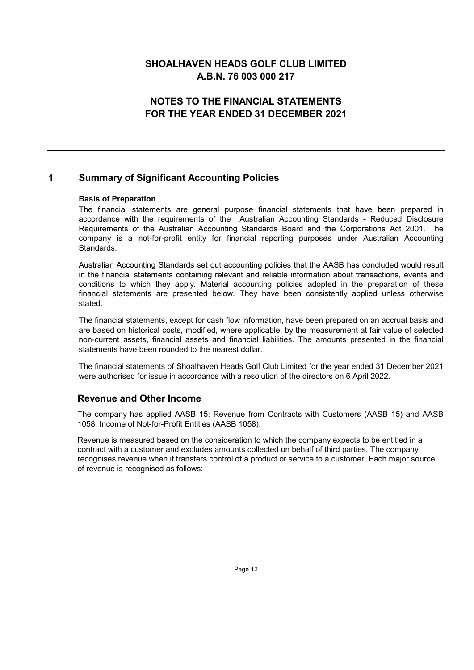## **NOTES TO THE FINANCIAL STATEMENTS** FOR THE YEAR ENDED 31 DECEMBER 2021

#### 1 **Summary of Significant Accounting Policies**

#### **Basis of Preparation**

The financial statements are general purpose financial statements that have been prepared in accordance with the requirements of the Australian Accounting Standards - Reduced Disclosure Requirements of the Australian Accounting Standards Board and the Corporations Act 2001. The company is a not-for-profit entity for financial reporting purposes under Australian Accounting Standards.

Australian Accounting Standards set out accounting policies that the AASB has concluded would result in the financial statements containing relevant and reliable information about transactions, events and conditions to which they apply. Material accounting policies adopted in the preparation of these financial statements are presented below. They have been consistently applied unless otherwise stated.

The financial statements, except for cash flow information, have been prepared on an accrual basis and are based on historical costs, modified, where applicable, by the measurement at fair value of selected non-current assets, financial assets and financial liabilities. The amounts presented in the financial statements have been rounded to the nearest dollar

The financial statements of Shoalhaven Heads Golf Club Limited for the year ended 31 December 2021 were authorised for issue in accordance with a resolution of the directors on 6 April 2022.

## **Revenue and Other Income**

The company has applied AASB 15: Revenue from Contracts with Customers (AASB 15) and AASB 1058: Income of Not-for-Profit Entities (AASB 1058).

Revenue is measured based on the consideration to which the company expects to be entitled in a contract with a customer and excludes amounts collected on behalf of third parties. The company recognises revenue when it transfers control of a product or service to a customer. Each major source of revenue is recognised as follows: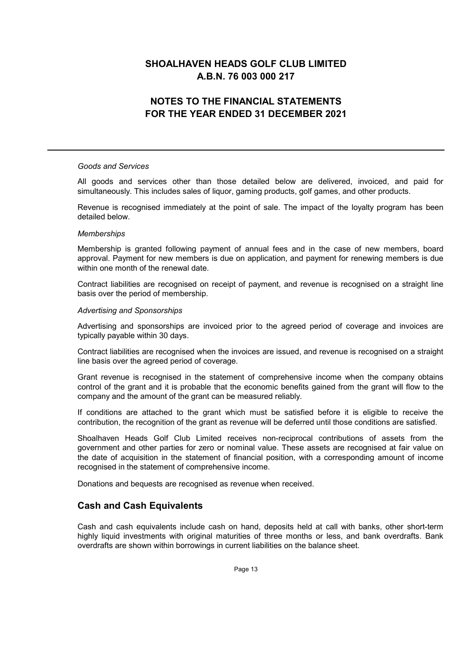## **NOTES TO THE FINANCIAL STATEMENTS** FOR THE YEAR ENDED 31 DECEMBER 2021

#### **Goods and Services**

All goods and services other than those detailed below are delivered, invoiced, and paid for simultaneously. This includes sales of liquor, gaming products, golf games, and other products.

Revenue is recognised immediately at the point of sale. The impact of the loyalty program has been detailed below.

#### **Memberships**

Membership is granted following payment of annual fees and in the case of new members, board approval. Payment for new members is due on application, and payment for renewing members is due within one month of the renewal date

Contract liabilities are recognised on receipt of payment, and revenue is recognised on a straight line basis over the period of membership.

#### **Advertising and Sponsorships**

Advertising and sponsorships are invoiced prior to the agreed period of coverage and invoices are typically payable within 30 days.

Contract liabilities are recognised when the invoices are issued, and revenue is recognised on a straight line basis over the agreed period of coverage.

Grant revenue is recognised in the statement of comprehensive income when the company obtains control of the grant and it is probable that the economic benefits gained from the grant will flow to the company and the amount of the grant can be measured reliably.

If conditions are attached to the grant which must be satisfied before it is eligible to receive the contribution, the recognition of the grant as revenue will be deferred until those conditions are satisfied.

Shoalhaven Heads Golf Club Limited receives non-reciprocal contributions of assets from the government and other parties for zero or nominal value. These assets are recognised at fair value on the date of acquisition in the statement of financial position, with a corresponding amount of income recognised in the statement of comprehensive income.

Donations and bequests are recognised as revenue when received.

## **Cash and Cash Equivalents**

Cash and cash equivalents include cash on hand, deposits held at call with banks, other short-term highly liguid investments with original maturities of three months or less, and bank overdrafts. Bank overdrafts are shown within borrowings in current liabilities on the balance sheet.

Page 13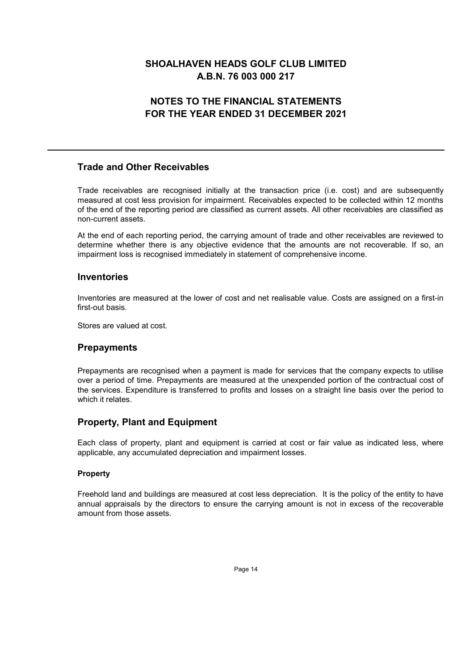# **NOTES TO THE FINANCIAL STATEMENTS** FOR THE YEAR ENDED 31 DECEMBER 2021

## **Trade and Other Receivables**

Trade receivables are recognised initially at the transaction price (i.e. cost) and are subsequently measured at cost less provision for impairment. Receivables expected to be collected within 12 months of the end of the reporting period are classified as current assets. All other receivables are classified as non-current assets.

At the end of each reporting period, the carrying amount of trade and other receivables are reviewed to determine whether there is any objective evidence that the amounts are not recoverable. If so, an impairment loss is recognised immediately in statement of comprehensive income.

## **Inventories**

Inventories are measured at the lower of cost and net realisable value. Costs are assigned on a first-in first-out basis.

Stores are valued at cost.

## **Prepayments**

Prepayments are recognised when a payment is made for services that the company expects to utilise over a period of time. Prepayments are measured at the unexpended portion of the contractual cost of the services. Expenditure is transferred to profits and losses on a straight line basis over the period to which it relates.

## **Property, Plant and Equipment**

Each class of property, plant and equipment is carried at cost or fair value as indicated less, where applicable, any accumulated depreciation and impairment losses.

## **Property**

Freehold land and buildings are measured at cost less depreciation. It is the policy of the entity to have annual appraisals by the directors to ensure the carrying amount is not in excess of the recoverable amount from those assets.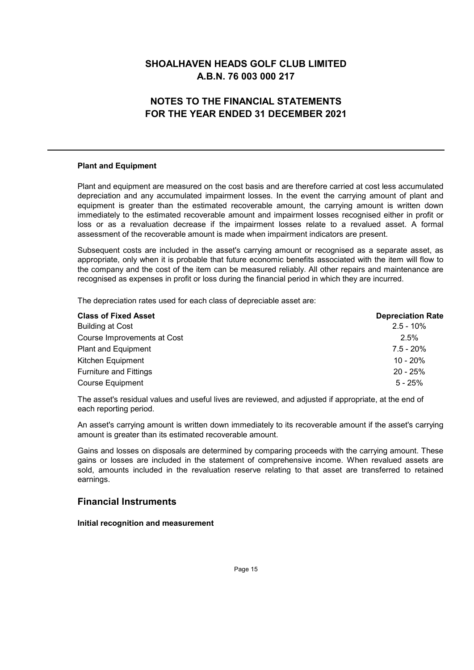# **NOTES TO THE FINANCIAL STATEMENTS** FOR THE YEAR ENDED 31 DECEMBER 2021

### **Plant and Equipment**

Plant and equipment are measured on the cost basis and are therefore carried at cost less accumulated depreciation and any accumulated impairment losses. In the event the carrying amount of plant and equipment is greater than the estimated recoverable amount, the carrying amount is written down immediately to the estimated recoverable amount and impairment losses recognised either in profit or loss or as a revaluation decrease if the impairment losses relate to a revalued asset. A formal assessment of the recoverable amount is made when impairment indicators are present.

Subsequent costs are included in the asset's carrying amount or recognised as a separate asset, as appropriate, only when it is probable that future economic benefits associated with the item will flow to the company and the cost of the item can be measured reliably. All other repairs and maintenance are recognised as expenses in profit or loss during the financial period in which they are incurred.

The depreciation rates used for each class of depreciable asset are:

| <b>Class of Fixed Asset</b>   | <b>Depreciation Rate</b> |
|-------------------------------|--------------------------|
| <b>Building at Cost</b>       | $2.5 - 10\%$             |
| Course Improvements at Cost   | 2.5%                     |
| <b>Plant and Equipment</b>    | $7.5 - 20%$              |
| Kitchen Equipment             | $10 - 20%$               |
| <b>Furniture and Fittings</b> | $20 - 25%$               |
| <b>Course Equipment</b>       | $5 - 25%$                |

The asset's residual values and useful lives are reviewed, and adjusted if appropriate, at the end of each reporting period.

An asset's carrying amount is written down immediately to its recoverable amount if the asset's carrying amount is greater than its estimated recoverable amount.

Gains and losses on disposals are determined by comparing proceeds with the carrying amount. These gains or losses are included in the statement of comprehensive income. When revalued assets are sold, amounts included in the revaluation reserve relating to that asset are transferred to retained earnings.

## **Financial Instruments**

Initial recognition and measurement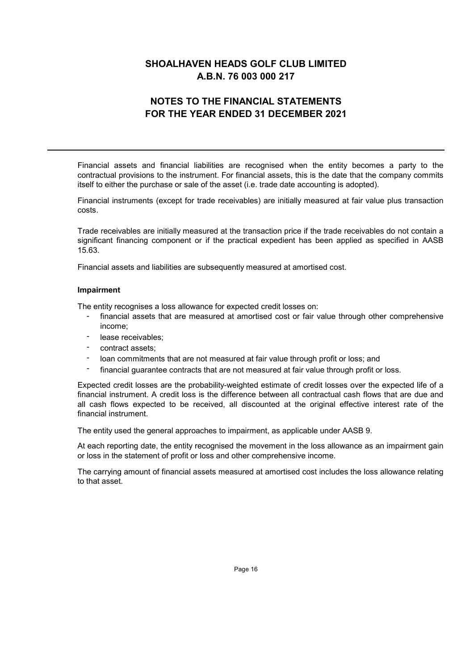# **NOTES TO THE FINANCIAL STATEMENTS** FOR THE YEAR ENDED 31 DECEMBER 2021

Financial assets and financial liabilities are recognised when the entity becomes a party to the contractual provisions to the instrument. For financial assets, this is the date that the company commits itself to either the purchase or sale of the asset (i.e. trade date accounting is adopted).

Financial instruments (except for trade receivables) are initially measured at fair value plus transaction costs.

Trade receivables are initially measured at the transaction price if the trade receivables do not contain a significant financing component or if the practical expedient has been applied as specified in AASB 15.63

Financial assets and liabilities are subsequently measured at amortised cost.

#### Impairment

The entity recognises a loss allowance for expected credit losses on:

- financial assets that are measured at amortised cost or fair value through other comprehensive income:
- lease receivables:  $\sim$
- contract assets:
- loan commitments that are not measured at fair value through profit or loss; and
- financial guarantee contracts that are not measured at fair value through profit or loss.

Expected credit losses are the probability-weighted estimate of credit losses over the expected life of a financial instrument. A credit loss is the difference between all contractual cash flows that are due and all cash flows expected to be received, all discounted at the original effective interest rate of the financial instrument.

The entity used the general approaches to impairment, as applicable under AASB 9.

At each reporting date, the entity recognised the movement in the loss allowance as an impairment gain or loss in the statement of profit or loss and other comprehensive income.

The carrying amount of financial assets measured at amortised cost includes the loss allowance relating to that asset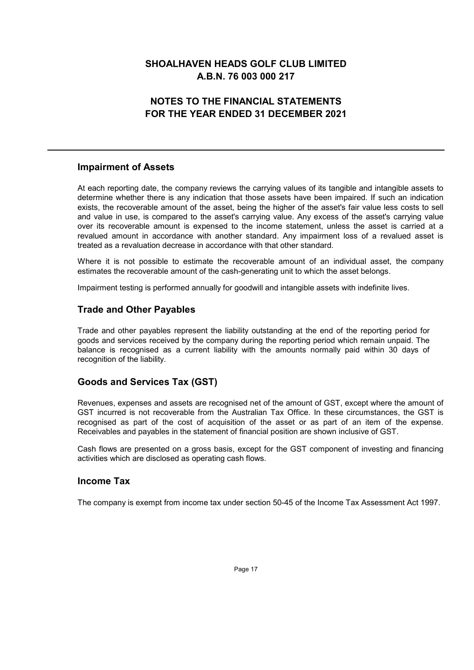# **NOTES TO THE FINANCIAL STATEMENTS** FOR THE YEAR ENDED 31 DECEMBER 2021

## **Impairment of Assets**

At each reporting date, the company reviews the carrying values of its tangible and intangible assets to determine whether there is any indication that those assets have been impaired. If such an indication exists, the recoverable amount of the asset, being the higher of the asset's fair value less costs to sell and value in use, is compared to the asset's carrying value. Any excess of the asset's carrying value over its recoverable amount is expensed to the income statement, unless the asset is carried at a revalued amount in accordance with another standard. Any impairment loss of a revalued asset is treated as a revaluation decrease in accordance with that other standard.

Where it is not possible to estimate the recoverable amount of an individual asset, the company estimates the recoverable amount of the cash-generating unit to which the asset belongs.

Impairment testing is performed annually for goodwill and intangible assets with indefinite lives.

## **Trade and Other Payables**

Trade and other payables represent the liability outstanding at the end of the reporting period for goods and services received by the company during the reporting period which remain unpaid. The balance is recognised as a current liability with the amounts normally paid within 30 days of recognition of the liability.

## **Goods and Services Tax (GST)**

Revenues, expenses and assets are recognised net of the amount of GST, except where the amount of GST incurred is not recoverable from the Australian Tax Office. In these circumstances, the GST is recognised as part of the cost of acquisition of the asset or as part of an item of the expense. Receivables and payables in the statement of financial position are shown inclusive of GST.

Cash flows are presented on a gross basis, except for the GST component of investing and financing activities which are disclosed as operating cash flows.

## **Income Tax**

The company is exempt from income tax under section 50-45 of the Income Tax Assessment Act 1997.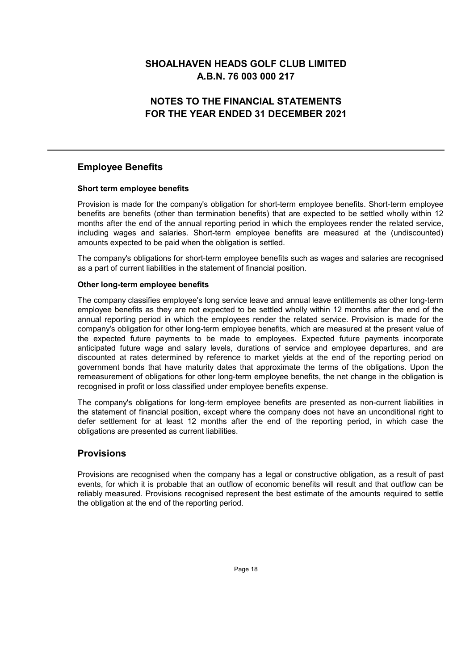# **NOTES TO THE FINANCIAL STATEMENTS** FOR THE YEAR ENDED 31 DECEMBER 2021

## **Employee Benefits**

## Short term employee benefits

Provision is made for the company's obligation for short-term employee benefits. Short-term employee benefits are benefits (other than termination benefits) that are expected to be settled wholly within 12 months after the end of the annual reporting period in which the employees render the related service. including wages and salaries. Short-term employee benefits are measured at the (undiscounted) amounts expected to be paid when the obligation is settled.

The company's obligations for short-term employee benefits such as wages and salaries are recognised as a part of current liabilities in the statement of financial position.

## Other long-term employee benefits

The company classifies employee's long service leave and annual leave entitlements as other long-term employee benefits as they are not expected to be settled wholly within 12 months after the end of the annual reporting period in which the employees render the related service. Provision is made for the company's obligation for other long-term employee benefits, which are measured at the present value of the expected future payments to be made to employees. Expected future payments incorporate anticipated future wage and salary levels, durations of service and employee departures, and are discounted at rates determined by reference to market yields at the end of the reporting period on government bonds that have maturity dates that approximate the terms of the obligations. Upon the remeasurement of obligations for other long-term employee benefits, the net change in the obligation is recognised in profit or loss classified under employee benefits expense.

The company's obligations for long-term employee benefits are presented as non-current liabilities in the statement of financial position, except where the company does not have an unconditional right to defer settlement for at least 12 months after the end of the reporting period, in which case the obligations are presented as current liabilities.

## **Provisions**

Provisions are recognised when the company has a legal or constructive obligation, as a result of past events, for which it is probable that an outflow of economic benefits will result and that outflow can be reliably measured. Provisions recognised represent the best estimate of the amounts required to settle the obligation at the end of the reporting period.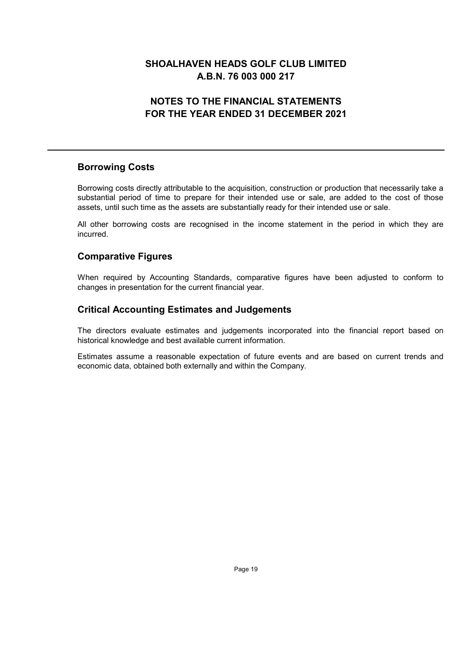# **NOTES TO THE FINANCIAL STATEMENTS** FOR THE YEAR ENDED 31 DECEMBER 2021

## **Borrowing Costs**

Borrowing costs directly attributable to the acquisition, construction or production that necessarily take a substantial period of time to prepare for their intended use or sale, are added to the cost of those assets, until such time as the assets are substantially ready for their intended use or sale.

All other borrowing costs are recognised in the income statement in the period in which they are incurred.

## **Comparative Figures**

When required by Accounting Standards, comparative figures have been adjusted to conform to changes in presentation for the current financial year.

## **Critical Accounting Estimates and Judgements**

The directors evaluate estimates and judgements incorporated into the financial report based on historical knowledge and best available current information.

Estimates assume a reasonable expectation of future events and are based on current trends and economic data, obtained both externally and within the Company.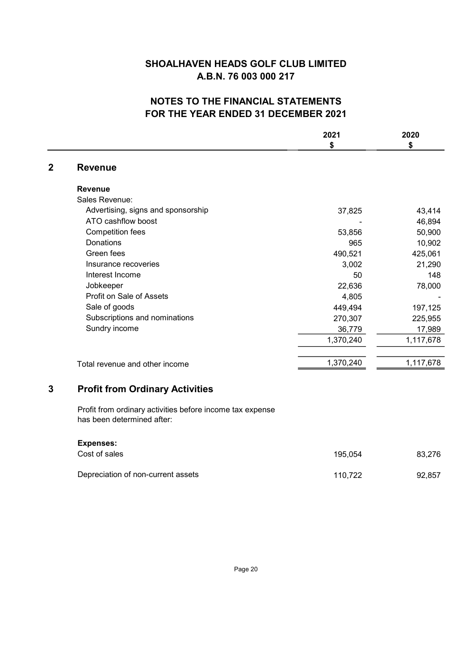# NOTES TO THE FINANCIAL STATEMENTS FOR THE YEAR ENDED 31 DECEMBER 2021

|                                                                                         | 2021                                                          | 2020      |
|-----------------------------------------------------------------------------------------|---------------------------------------------------------------|-----------|
|                                                                                         | \$                                                            | \$        |
| <b>Revenue</b>                                                                          |                                                               |           |
| <b>Revenue</b>                                                                          |                                                               |           |
| Sales Revenue:                                                                          |                                                               |           |
| Advertising, signs and sponsorship                                                      | 37,825                                                        | 43,414    |
| ATO cashflow boost                                                                      |                                                               | 46,894    |
| <b>Competition fees</b>                                                                 | 53,856                                                        | 50,900    |
| Donations                                                                               | 965                                                           | 10,902    |
| Green fees                                                                              | 490,521                                                       | 425,061   |
| Insurance recoveries                                                                    | 3,002                                                         | 21,290    |
| Interest Income                                                                         | 50                                                            | 148       |
| Jobkeeper                                                                               | 22,636                                                        | 78,000    |
|                                                                                         | 4,805                                                         |           |
|                                                                                         | 449,494                                                       | 197,125   |
| Subscriptions and nominations                                                           | 270,307                                                       | 225,955   |
| Sundry income                                                                           | 36,779                                                        | 17,989    |
|                                                                                         | 1,370,240                                                     | 1,117,678 |
| Total revenue and other income                                                          | 1,370,240                                                     | 1,117,678 |
| <b>Profit from Ordinary Activities</b>                                                  |                                                               |           |
| Profit from ordinary activities before income tax expense<br>has been determined after: |                                                               |           |
|                                                                                         |                                                               |           |
| Cost of sales                                                                           | 195,054                                                       | 83,276    |
|                                                                                         | Profit on Sale of Assets<br>Sale of goods<br><b>Expenses:</b> |           |

Depreciation of non-current assets

110,722 92,857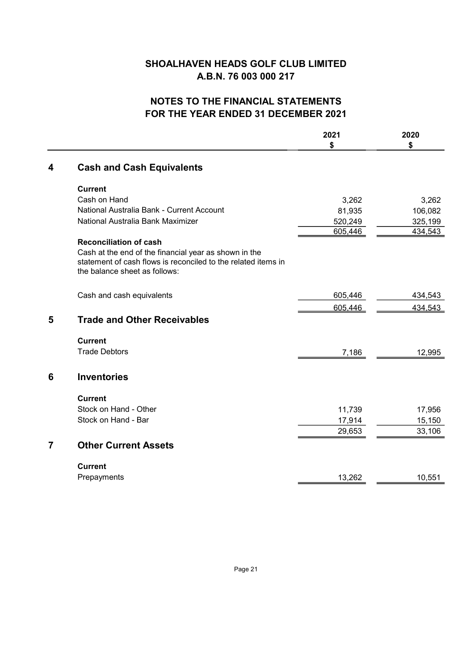# NOTES TO THE FINANCIAL STATEMENTS FOR THE YEAR ENDED 31 DECEMBER 2021

|                |                                                               | 2021<br>\$ | 2020<br>\$ |
|----------------|---------------------------------------------------------------|------------|------------|
| 4              | <b>Cash and Cash Equivalents</b>                              |            |            |
|                | <b>Current</b>                                                |            |            |
|                | Cash on Hand                                                  | 3,262      | 3,262      |
|                | National Australia Bank - Current Account                     | 81,935     | 106,082    |
|                | National Australia Bank Maximizer                             | 520,249    | 325,199    |
|                |                                                               | 605,446    | 434,543    |
|                | <b>Reconciliation of cash</b>                                 |            |            |
|                | Cash at the end of the financial year as shown in the         |            |            |
|                | statement of cash flows is reconciled to the related items in |            |            |
|                | the balance sheet as follows:                                 |            |            |
|                | Cash and cash equivalents                                     | 605,446    | 434,543    |
|                |                                                               | 605,446    | 434,543    |
| 5              | <b>Trade and Other Receivables</b>                            |            |            |
|                | <b>Current</b>                                                |            |            |
|                | <b>Trade Debtors</b>                                          | 7,186      | 12,995     |
| 6              | <b>Inventories</b>                                            |            |            |
|                | <b>Current</b>                                                |            |            |
|                | Stock on Hand - Other                                         | 11,739     | 17,956     |
|                | Stock on Hand - Bar                                           | 17,914     | 15,150     |
|                |                                                               | 29,653     | 33,106     |
| $\overline{7}$ | <b>Other Current Assets</b>                                   |            |            |
|                | <b>Current</b>                                                |            |            |
|                | Prepayments                                                   | 13,262     | 10,551     |
|                |                                                               |            |            |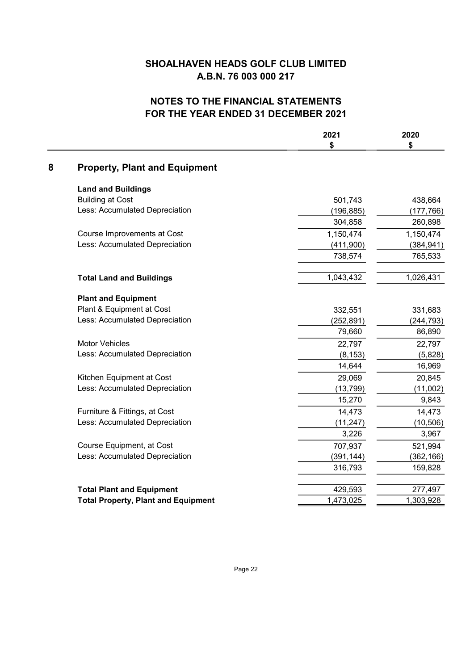# **NOTES TO THE FINANCIAL STATEMENTS FOR THE YEAR ENDED 31 DECEMBER 2021**

|   |                                            | 2021<br>\$ | 2020<br>\$ |
|---|--------------------------------------------|------------|------------|
| 8 | <b>Property, Plant and Equipment</b>       |            |            |
|   | <b>Land and Buildings</b>                  |            |            |
|   | <b>Building at Cost</b>                    | 501,743    | 438,664    |
|   | Less: Accumulated Depreciation             | (196, 885) | (177, 766) |
|   |                                            | 304,858    | 260,898    |
|   | Course Improvements at Cost                | 1,150,474  | 1,150,474  |
|   | Less: Accumulated Depreciation             | (411,900)  | (384, 941) |
|   |                                            | 738,574    | 765,533    |
|   | <b>Total Land and Buildings</b>            | 1,043,432  | 1,026,431  |
|   | <b>Plant and Equipment</b>                 |            |            |
|   | Plant & Equipment at Cost                  | 332,551    | 331,683    |
|   | Less: Accumulated Depreciation             | (252, 891) | (244, 793) |
|   |                                            | 79,660     | 86,890     |
|   | <b>Motor Vehicles</b>                      | 22,797     | 22,797     |
|   | Less: Accumulated Depreciation             | (8, 153)   | (5,828)    |
|   |                                            | 14,644     | 16,969     |
|   | Kitchen Equipment at Cost                  | 29,069     | 20,845     |
|   | Less: Accumulated Depreciation             | (13, 799)  | (11,002)   |
|   |                                            | 15,270     | 9,843      |
|   | Furniture & Fittings, at Cost              | 14,473     | 14,473     |
|   | Less: Accumulated Depreciation             | (11, 247)  | (10, 506)  |
|   |                                            | 3,226      | 3,967      |
|   | Course Equipment, at Cost                  | 707,937    | 521,994    |
|   | Less: Accumulated Depreciation             | (391, 144) | (362, 166) |
|   |                                            | 316,793    | 159,828    |
|   | <b>Total Plant and Equipment</b>           | 429,593    | 277,497    |
|   | <b>Total Property, Plant and Equipment</b> | 1,473,025  | 1,303,928  |
|   |                                            |            |            |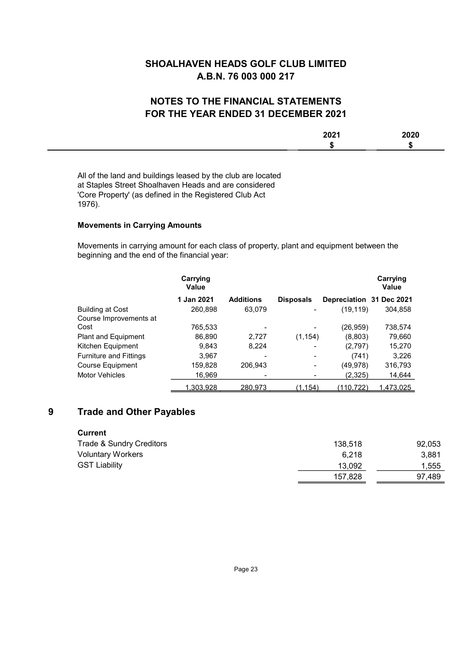## **NOTES TO THE FINANCIAL STATEMENTS** FOR THE YEAR ENDED 31 DECEMBER 2021

| 0.004<br>LVL I | $- - -$ |
|----------------|---------|
|                | - 11    |
|                |         |

All of the land and buildings leased by the club are located at Staples Street Shoalhaven Heads and are considered 'Core Property' (as defined in the Registered Club Act 1976).

## **Movements in Carrying Amounts**

Movements in carrying amount for each class of property, plant and equipment between the beginning and the end of the financial year:

|                               | Carrying<br>Value |                  |                  |                          | Carrying<br>Value |
|-------------------------------|-------------------|------------------|------------------|--------------------------|-------------------|
|                               | 1 Jan 2021        | <b>Additions</b> | <b>Disposals</b> | Depreciation 31 Dec 2021 |                   |
| <b>Building at Cost</b>       | 260,898           | 63.079           |                  | (19,119)                 | 304,858           |
| Course Improvements at        |                   |                  |                  |                          |                   |
| Cost                          | 765.533           |                  |                  | (26,959)                 | 738,574           |
| Plant and Equipment           | 86,890            | 2.727            | (1, 154)         | (8,803)                  | 79,660            |
| Kitchen Equipment             | 9,843             | 8,224            |                  | (2,797)                  | 15,270            |
| <b>Furniture and Fittings</b> | 3.967             |                  |                  | (741)                    | 3,226             |
| <b>Course Equipment</b>       | 159,828           | 206.943          |                  | (49,978)                 | 316,793           |
| <b>Motor Vehicles</b>         | 16,969            |                  |                  | (2,325)                  | 14,644            |
|                               | 1.303.928         | 280.973          | (1.154)          | (110.722`                | 1.473.025         |

#### $9$ **Trade and Other Payables**

| Current                  |         |        |
|--------------------------|---------|--------|
| Trade & Sundry Creditors | 138.518 | 92.053 |
| <b>Voluntary Workers</b> | 6.218   | 3.881  |
| <b>GST Liability</b>     | 13.092  | 1.555  |
|                          | 157.828 | 97.489 |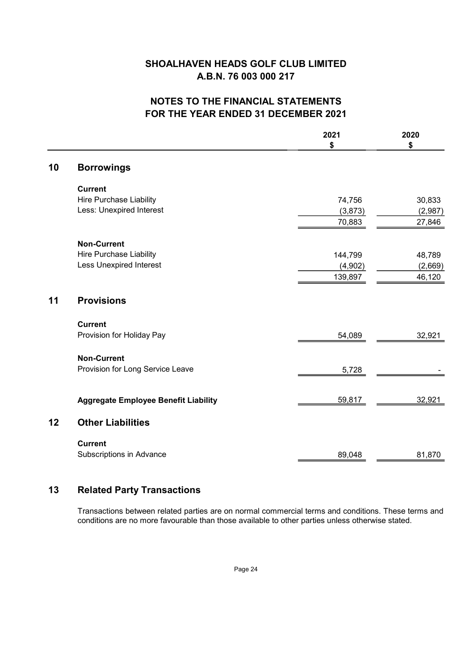# **NOTES TO THE FINANCIAL STATEMENTS** FOR THE YEAR ENDED 31 DECEMBER 2021

|    |                                             | 2021<br>\$ | 2020<br>\$ |
|----|---------------------------------------------|------------|------------|
| 10 | <b>Borrowings</b>                           |            |            |
|    | <b>Current</b>                              |            |            |
|    | <b>Hire Purchase Liability</b>              | 74,756     | 30,833     |
|    | Less: Unexpired Interest                    | (3, 873)   | (2,987)    |
|    |                                             | 70,883     | 27,846     |
|    | <b>Non-Current</b>                          |            |            |
|    | Hire Purchase Liability                     | 144,799    | 48,789     |
|    | <b>Less Unexpired Interest</b>              | (4,902)    | (2,669)    |
|    |                                             | 139,897    | 46,120     |
| 11 | <b>Provisions</b>                           |            |            |
|    | <b>Current</b>                              |            |            |
|    | Provision for Holiday Pay                   | 54,089     | 32,921     |
|    | <b>Non-Current</b>                          |            |            |
|    | Provision for Long Service Leave            | 5,728      |            |
|    |                                             |            |            |
|    | <b>Aggregate Employee Benefit Liability</b> | 59,817     | 32,921     |
| 12 | <b>Other Liabilities</b>                    |            |            |
|    | <b>Current</b>                              |            |            |
|    | Subscriptions in Advance                    | 89,048     | 81,870     |

#### **Related Party Transactions**  $13$

Transactions between related parties are on normal commercial terms and conditions. These terms and conditions are no more favourable than those available to other parties unless otherwise stated.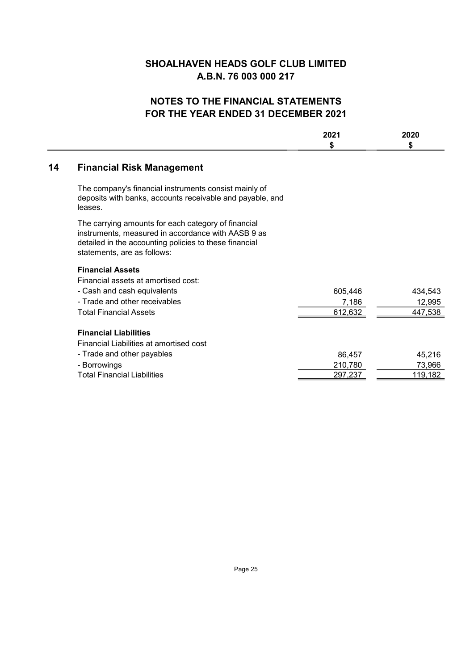# NOTES TO THE FINANCIAL STATEMENTS FOR THE YEAR ENDED 31 DECEMBER 2021

|    |                                                                                                                                                                                                    | 2021<br>\$ | 2020<br>\$ |
|----|----------------------------------------------------------------------------------------------------------------------------------------------------------------------------------------------------|------------|------------|
| 14 | <b>Financial Risk Management</b>                                                                                                                                                                   |            |            |
|    | The company's financial instruments consist mainly of<br>deposits with banks, accounts receivable and payable, and<br>leases.                                                                      |            |            |
|    | The carrying amounts for each category of financial<br>instruments, measured in accordance with AASB 9 as<br>detailed in the accounting policies to these financial<br>statements, are as follows: |            |            |
|    | <b>Financial Assets</b>                                                                                                                                                                            |            |            |
|    | Financial assets at amortised cost:                                                                                                                                                                |            |            |
|    | - Cash and cash equivalents                                                                                                                                                                        | 605,446    | 434,543    |
|    | - Trade and other receivables                                                                                                                                                                      | 7,186      | 12,995     |
|    | <b>Total Financial Assets</b>                                                                                                                                                                      | 612,632    | 447,538    |
|    | <b>Financial Liabilities</b>                                                                                                                                                                       |            |            |
|    | Financial Liabilities at amortised cost                                                                                                                                                            |            |            |
|    | - Trade and other payables                                                                                                                                                                         | 86,457     | 45,216     |
|    | - Borrowings                                                                                                                                                                                       | 210,780    | 73,966     |
|    | <b>Total Financial Liabilities</b>                                                                                                                                                                 | 297.237    | 119,182    |
|    |                                                                                                                                                                                                    |            |            |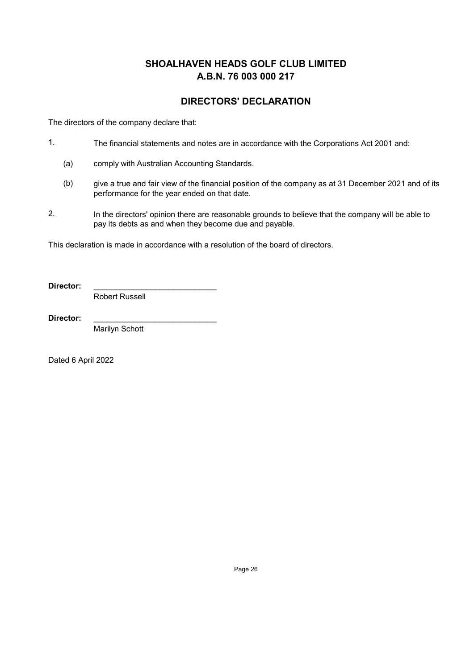## **DIRECTORS' DECLARATION**

The directors of the company declare that:

- $1.$ The financial statements and notes are in accordance with the Corporations Act 2001 and:
	- $(a)$ comply with Australian Accounting Standards.
	- $(b)$ give a true and fair view of the financial position of the company as at 31 December 2021 and of its performance for the year ended on that date.
- $2.$ In the directors' opinion there are reasonable grounds to believe that the company will be able to pay its debts as and when they become due and payable.

This declaration is made in accordance with a resolution of the board of directors.

Director:

**Robert Russell** 

Director:

Marilyn Schott

Dated 6 April 2022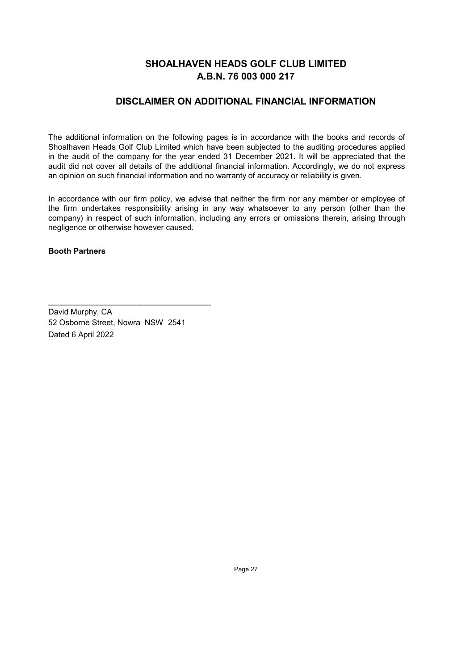## **DISCLAIMER ON ADDITIONAL FINANCIAL INFORMATION**

The additional information on the following pages is in accordance with the books and records of Shoalhaven Heads Golf Club Limited which have been subjected to the auditing procedures applied in the audit of the company for the year ended 31 December 2021. It will be appreciated that the audit did not cover all details of the additional financial information. Accordingly, we do not express an opinion on such financial information and no warranty of accuracy or reliability is given.

In accordance with our firm policy, we advise that neither the firm nor any member or employee of the firm undertakes responsibility arising in any way whatsoever to any person (other than the company) in respect of such information, including any errors or omissions therein, arising through negligence or otherwise however caused.

#### **Booth Partners**

David Murphy, CA 52 Osborne Street, Nowra NSW 2541 Dated 6 April 2022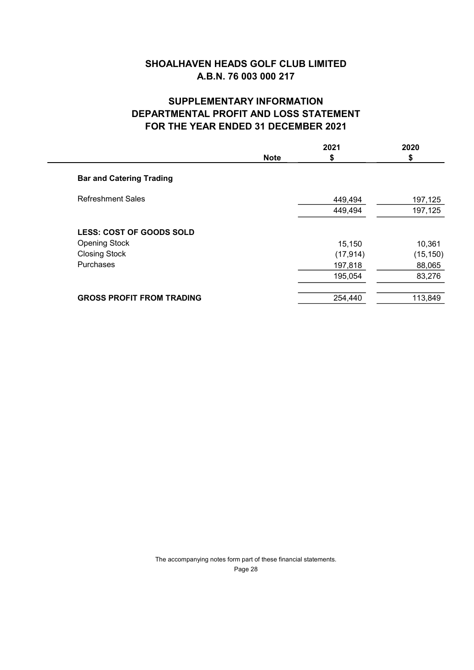# **SUPPLEMENTARY INFORMATION DEPARTMENTAL PROFIT AND LOSS STATEMENT FOR THE YEAR ENDED 31 DECEMBER 2021**

|                                  | <b>Note</b> | 2021<br>S | 2020<br>S |
|----------------------------------|-------------|-----------|-----------|
| <b>Bar and Catering Trading</b>  |             |           |           |
| <b>Refreshment Sales</b>         |             | 449,494   | 197,125   |
|                                  |             | 449,494   | 197,125   |
| <b>LESS: COST OF GOODS SOLD</b>  |             |           |           |
| <b>Opening Stock</b>             |             | 15,150    | 10,361    |
| <b>Closing Stock</b>             |             | (17, 914) | (15, 150) |
| Purchases                        |             | 197,818   | 88,065    |
|                                  |             | 195,054   | 83,276    |
| <b>GROSS PROFIT FROM TRADING</b> |             | 254,440   | 113,849   |
|                                  |             |           |           |

The accompanying notes form part of these financial statements. Page 28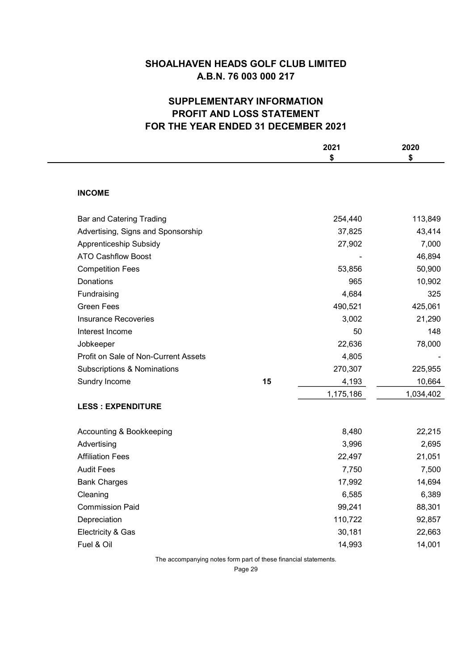# **SUPPLEMENTARY INFORMATION** PROFIT AND LOSS STATEMENT FOR THE YEAR ENDED 31 DECEMBER 2021

|                                        |    | 2021      | 2020      |
|----------------------------------------|----|-----------|-----------|
|                                        |    | \$        | \$        |
| <b>INCOME</b>                          |    |           |           |
| <b>Bar and Catering Trading</b>        |    | 254,440   | 113,849   |
| Advertising, Signs and Sponsorship     |    | 37,825    | 43,414    |
| Apprenticeship Subsidy                 |    | 27,902    | 7,000     |
| <b>ATO Cashflow Boost</b>              |    |           | 46,894    |
| <b>Competition Fees</b>                |    | 53,856    | 50,900    |
| Donations                              |    | 965       | 10,902    |
| Fundraising                            |    | 4,684     | 325       |
| <b>Green Fees</b>                      |    | 490,521   | 425,061   |
| <b>Insurance Recoveries</b>            |    | 3,002     | 21,290    |
| Interest Income                        |    | 50        | 148       |
| Jobkeeper                              |    | 22,636    | 78,000    |
| Profit on Sale of Non-Current Assets   |    | 4,805     |           |
| <b>Subscriptions &amp; Nominations</b> |    | 270,307   | 225,955   |
| Sundry Income                          | 15 | 4,193     | 10,664    |
|                                        |    | 1,175,186 | 1,034,402 |
| <b>LESS: EXPENDITURE</b>               |    |           |           |
| Accounting & Bookkeeping               |    | 8,480     | 22,215    |
| Advertising                            |    | 3,996     | 2,695     |
| <b>Affiliation Fees</b>                |    | 22,497    | 21,051    |
| <b>Audit Fees</b>                      |    | 7,750     | 7,500     |
| <b>Bank Charges</b>                    |    | 17,992    | 14,694    |
| Cleaning                               |    | 6,585     | 6,389     |
| <b>Commission Paid</b>                 |    | 99,241    | 88,301    |
| Depreciation                           |    | 110,722   | 92,857    |
| Electricity & Gas                      |    | 30,181    | 22,663    |
| Fuel & Oil                             |    | 14.993    | 14.001    |

The accompanying notes form part of these financial statements.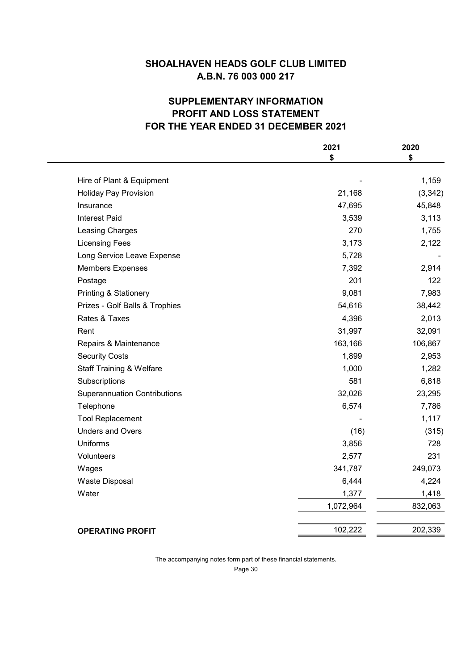# **SUPPLEMENTARY INFORMATION** PROFIT AND LOSS STATEMENT FOR THE YEAR ENDED 31 DECEMBER 2021

|                                     | 2021<br>\$ | 2020<br>\$ |
|-------------------------------------|------------|------------|
|                                     |            |            |
| Hire of Plant & Equipment           |            | 1,159      |
| <b>Holiday Pay Provision</b>        | 21,168     | (3, 342)   |
| Insurance                           | 47,695     | 45,848     |
| <b>Interest Paid</b>                | 3,539      | 3,113      |
| Leasing Charges                     | 270        | 1,755      |
| <b>Licensing Fees</b>               | 3,173      | 2,122      |
| Long Service Leave Expense          | 5,728      |            |
| <b>Members Expenses</b>             | 7,392      | 2,914      |
| Postage                             | 201        | 122        |
| <b>Printing &amp; Stationery</b>    | 9,081      | 7,983      |
| Prizes - Golf Balls & Trophies      | 54,616     | 38,442     |
| Rates & Taxes                       | 4,396      | 2,013      |
| Rent                                | 31,997     | 32,091     |
| Repairs & Maintenance               | 163,166    | 106,867    |
| <b>Security Costs</b>               | 1,899      | 2,953      |
| <b>Staff Training &amp; Welfare</b> | 1,000      | 1,282      |
| Subscriptions                       | 581        | 6,818      |
| <b>Superannuation Contributions</b> | 32,026     | 23,295     |
| Telephone                           | 6,574      | 7,786      |
| <b>Tool Replacement</b>             |            | 1,117      |
| <b>Unders and Overs</b>             | (16)       | (315)      |
| <b>Uniforms</b>                     | 3,856      | 728        |
| Volunteers                          | 2,577      | 231        |
| Wages                               | 341,787    | 249,073    |
| Waste Disposal                      | 6,444      | 4,224      |
| Water                               | 1,377      | 1,418      |
|                                     | 1,072,964  | 832,063    |
| <b>OPERATING PROFIT</b>             | 102,222    | 202,339    |

The accompanying notes form part of these financial statements.